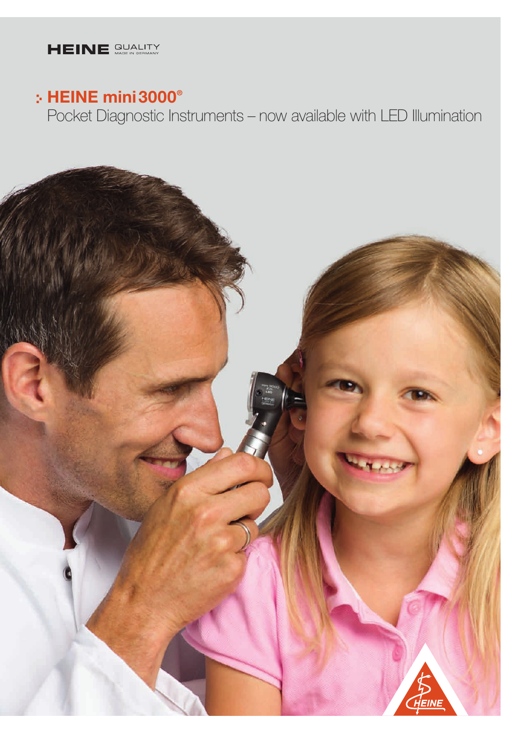

### HEINE mini3000®

Pocket Diagnostic Instruments – now available with LED Illumination

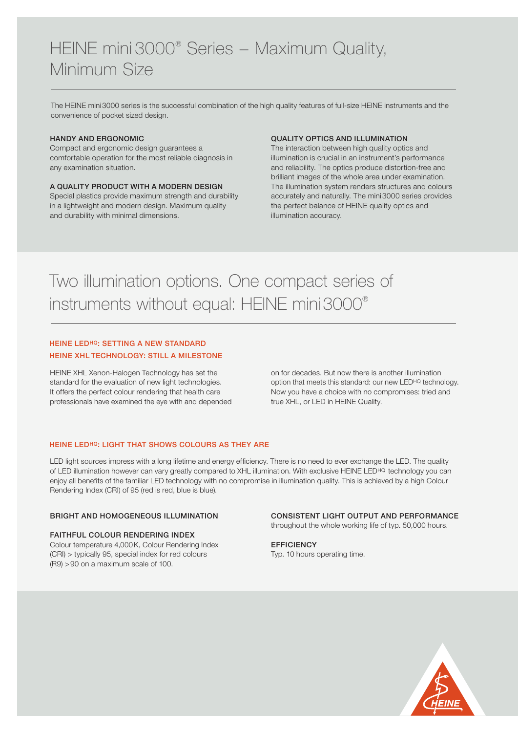## HEINE mini 3000® Series – Maximum Quality, Minimum Size

The HEINE mini3000 series is the successful combination of the high quality features of full-size HEINE instruments and the convenience of pocket sized design.

#### HANDY AND ERGONOMIC

Compact and ergonomic design guarantees a comfortable operation for the most reliable diagnosis in any examination situation.

#### A QUALITY PRODUCT WITH A MODERN DESIGN

Special plastics provide maximum strength and durability in a lightweight and modern design. Maximum quality and durability with minimal dimensions.

#### QUALITY OPTICS AND ILLUMINATION

The interaction between high quality optics and illumination is crucial in an instrument's performance and reliability. The optics produce distortion-free and brilliant images of the whole area under examination. The illumination system renders structures and colours accurately and naturally. The mini3000 series provides the perfect balance of HEINE quality optics and illumination accuracy.

# Two illumination options. One compact series of instruments without equal: HEINE mini3000®

#### HEINE LEDHQ: SETTING A NEW STANDARD HEINE XHL TECHNOLOGY: STILL A MILESTONE

HEINE XHL Xenon-Halogen Technology has set the standard for the evaluation of new light technologies. It offers the perfect colour rendering that health care professionals have examined the eye with and depended on for decades. But now there is another illumination option that meets this standard: our new LEDHQ technology. Now you have a choice with no compromises: tried and true XHL, or LED in HEINE Quality.

#### HEINE LEDHQ: LIGHT THAT SHOWS COLOURS AS THEY ARE

LED light sources impress with a long lifetime and energy efficiency. There is no need to ever exchange the LED. The quality of LED illumination however can vary greatly compared to XHL illumination. With exclusive HEINE LED<sup>HQ</sup> technology you can enjoy all benefits of the familiar LED technology with no compromise in illumination quality. This is achieved by a high Colour Rendering Index (CRI) of 95 (red is red, blue is blue).

#### BRIGHT AND HOMOGENEOUS ILLUMINATION

#### FAITHFUL COLOUR RENDERING INDEX Colour temperature 4,000K, Colour Rendering Index (CRI) > typically 95, special index for red colours (R9) >90 on a maximum scale of 100.

### CONSISTENT LIGHT OUTPUT AND PERFORMANCE

throughout the whole working life of typ. 50,000 hours.

#### **EFFICIENCY** Typ. 10 hours operating time.

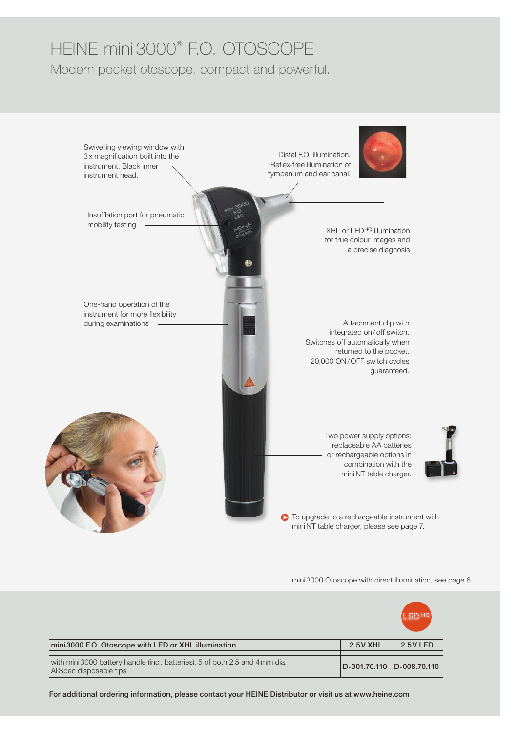### HEINE mini 3000® F.O. OTOSCOPE Modern pocket otoscope, compact and powerful.



mini3000 Otoscope with direct illumination, see page 6.

|                                                                                                         |                           | LED HQ          |
|---------------------------------------------------------------------------------------------------------|---------------------------|-----------------|
| mini 3000 F.O. Otoscope with LED or XHL illumination                                                    | <b>2.5 V XHL</b>          | <b>2.5V LED</b> |
| with mini 3000 battery handle (incl. batteries), 5 of both 2.5 and 4 mm dia.<br>AllSpec disposable tips | D-001.70.110 D-008.70.110 |                 |

For additional ordering information, please contact your HEINE Distributor or visit us at www.heine.com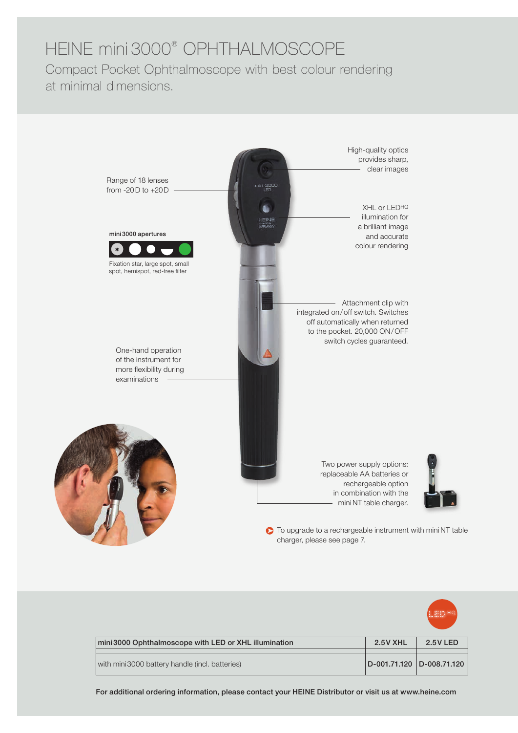# HEINE mini 3000® OPHTHALMOSCOPE

Compact Pocket Ophthalmoscope with best colour rendering at minimal dimensions.



To upgrade to a rechargeable instrument with mini NT table charger, please see page 7.



For additional ordering information, please contact your HEINE Distributor or visit us at www.heine.com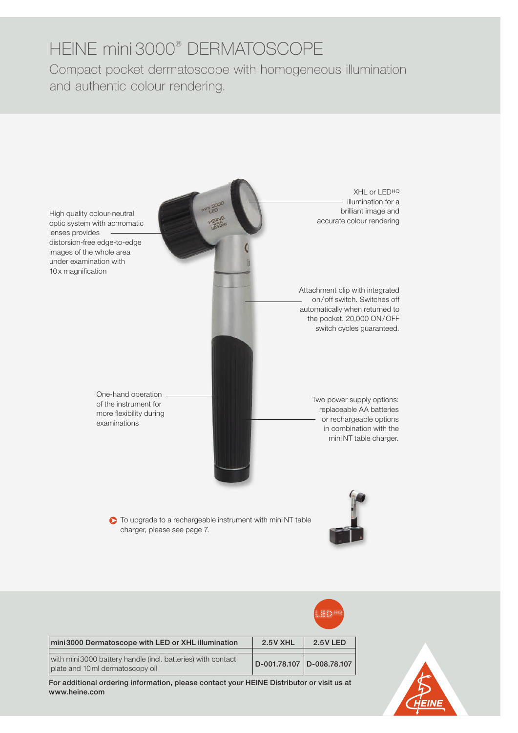# HEINE mini 3000® DERMATOSCOPE

Compact pocket dermatoscope with homogeneous illumination and authentic colour rendering.



|                                                                                                 |                 | <b>ALBERTA</b>   |
|-------------------------------------------------------------------------------------------------|-----------------|------------------|
| mini 3000 Dermatoscope with LED or XHL illumination                                             | <b>2.5V XHL</b> | <b>2.5V LED</b>  |
| with mini3000 battery handle (incl. batteries) with contact<br>plate and 10 ml dermatoscopy oil | D-001.78.107    | $ D-008.78.107 $ |

For additional ordering information, please contact your HEINE Distributor or visit us at www.heine.com

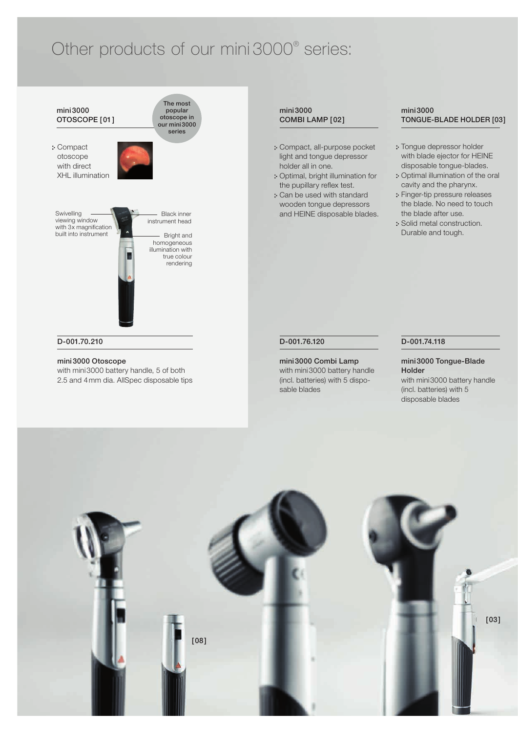### Other products of our mini 3000® series:



mini3000 Otoscope

with mini3000 battery handle, 5 of both 2.5 and 4mm dia. AllSpec disposable tips

#### mini3000 COMBI LAMP [02]

- Compact, all-purpose pocket light and tongue depressor holder all in one.
- Optimal, bright illumination for the pupillary reflex test.
- Can be used with standard wooden tongue depressors and HEINE disposable blades.

#### mini3000 TONGUE-BLADE HOLDER [03]

- : Tongue depressor holder with blade ejector for HEINE disposable tongue-blades.
- : Optimal illumination of the oral cavity and the pharynx.
- : Finger-tip pressure releases the blade. No need to touch the blade after use.
- : Solid metal construction. Durable and tough.

#### D-001.76.120

#### mini3000 Combi Lamp with mini3000 battery handle (incl. batteries) with 5 disposable blades

#### D-001.74.118

#### mini3000 Tongue-Blade Holder with mini3000 battery handle (incl. batteries) with 5 disposable blades

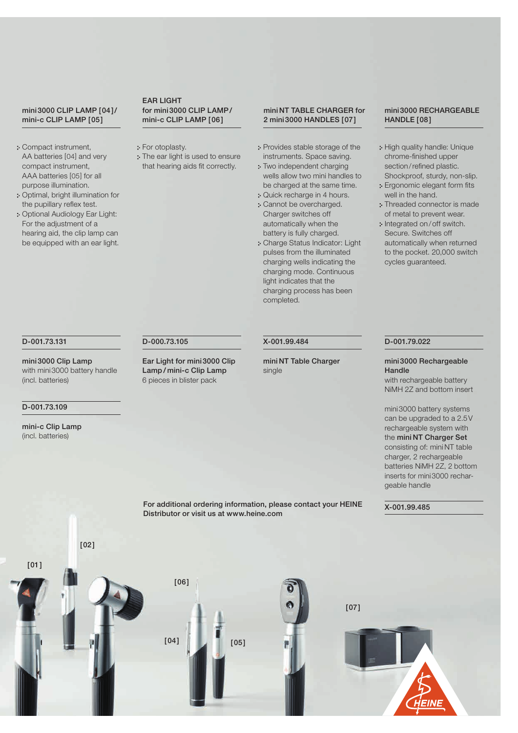#### mini3000 CLIP LAMP [04]/ mini-c CLIP LAMP [05]

- Compact instrument, AA batteries [04] and very compact instrument, AAA batteries [05] for all purpose illumination.
- Optimal, bright illumination for the pupillary reflex test.
- Optional Audiology Ear Light: For the adjustment of a hearing aid, the clip lamp can be equipped with an ear light.

#### D-001.73.131

mini3000 Clip Lamp with mini3000 battery handle (incl. batteries)

#### D-001.73.109

mini-c Clip Lamp (incl. batteries)

#### EAR LIGHT for mini3000 CLIP LAMP/ mini-c CLIP LAMP [06]

: For otoplasty.

D-000.73.105

Ear Light for mini3000 Clip Lamp / mini-c Clip Lamp 6 pieces in blister pack

: The ear light is used to ensure that hearing aids fit correctly.

#### mini NT TABLE CHARGER for 2 mini3000 HANDLES [07]

- Provides stable storage of the instruments. Space saving.
- Two independent charging wells allow two mini handles to be charged at the same time.
- Quick recharge in 4 hours.
- Cannot be overcharged. Charger switches off automatically when the battery is fully charged.
- Charge Status Indicator: Light pulses from the illuminated charging wells indicating the charging mode. Continuous light indicates that the charging process has been completed.

X-001.99.484

single

mini NT Table Charger

### mini3000 RECHARGEABLE HANDLE [08]

- : High quality handle: Unique chrome-finished upper section/refined plastic. Shockproof, sturdy, non-slip.
- Ergonomic elegant form fits well in the hand.
- Threaded connector is made of metal to prevent wear.
- : Integrated on/off switch. Secure. Switches off automatically when returned to the pocket. 20,000 switch cycles guaranteed.

#### mini3000 Rechargeable **Handle**

D-001.79.022

X-001.99.485

with rechargeable battery NiMH 2Z and bottom insert

mini3000 battery systems can be upgraded to a 2.5V rechargeable system with the mini NT Charger Set consisting of: mini NT table charger, 2 rechargeable batteries NiMH 2Z, 2 bottom inserts for mini3000 rechargeable handle

For additional ordering information, please contact your HEINE Distributor or visit us at www.heine.com





[02]

 $[04]$   $[05]$ 

[06]

[07]